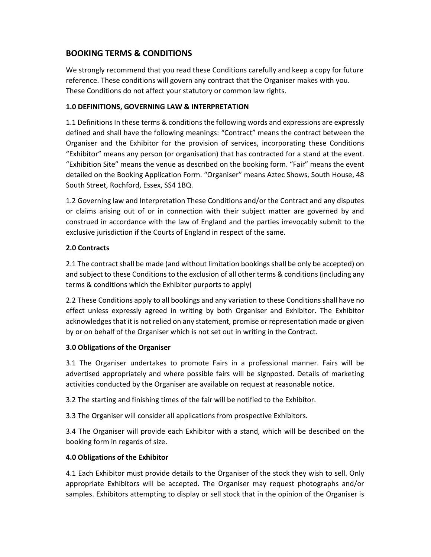# BOOKING TERMS & CONDITIONS

We strongly recommend that you read these Conditions carefully and keep a copy for future reference. These conditions will govern any contract that the Organiser makes with you. These Conditions do not affect your statutory or common law rights.

#### 1.0 DEFINITIONS, GOVERNING LAW & INTERPRETATION

1.1 Definitions In these terms & conditions the following words and expressions are expressly defined and shall have the following meanings: "Contract" means the contract between the Organiser and the Exhibitor for the provision of services, incorporating these Conditions "Exhibitor" means any person (or organisation) that has contracted for a stand at the event. "Exhibition Site" means the venue as described on the booking form. "Fair" means the event detailed on the Booking Application Form. "Organiser" means Aztec Shows, South House, 48 South Street, Rochford, Essex, SS4 1BQ.

1.2 Governing law and Interpretation These Conditions and/or the Contract and any disputes or claims arising out of or in connection with their subject matter are governed by and construed in accordance with the law of England and the parties irrevocably submit to the exclusive jurisdiction if the Courts of England in respect of the same.

# 2.0 Contracts

2.1 The contract shall be made (and without limitation bookings shall be only be accepted) on and subject to these Conditions to the exclusion of all other terms & conditions (including any terms & conditions which the Exhibitor purports to apply)

2.2 These Conditions apply to all bookings and any variation to these Conditions shall have no effect unless expressly agreed in writing by both Organiser and Exhibitor. The Exhibitor acknowledges that it is not relied on any statement, promise or representation made or given by or on behalf of the Organiser which is not set out in writing in the Contract.

# 3.0 Obligations of the Organiser

3.1 The Organiser undertakes to promote Fairs in a professional manner. Fairs will be advertised appropriately and where possible fairs will be signposted. Details of marketing activities conducted by the Organiser are available on request at reasonable notice.

3.2 The starting and finishing times of the fair will be notified to the Exhibitor.

3.3 The Organiser will consider all applications from prospective Exhibitors.

3.4 The Organiser will provide each Exhibitor with a stand, which will be described on the booking form in regards of size.

# 4.0 Obligations of the Exhibitor

4.1 Each Exhibitor must provide details to the Organiser of the stock they wish to sell. Only appropriate Exhibitors will be accepted. The Organiser may request photographs and/or samples. Exhibitors attempting to display or sell stock that in the opinion of the Organiser is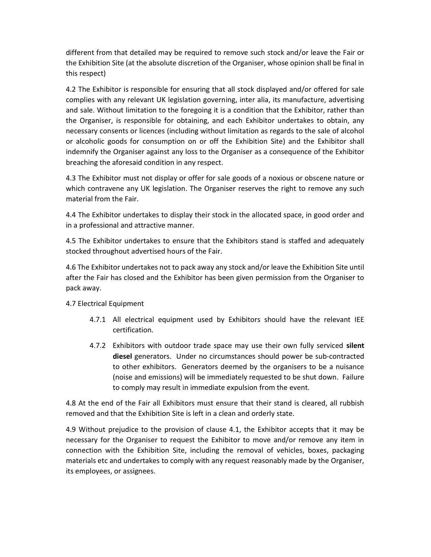different from that detailed may be required to remove such stock and/or leave the Fair or the Exhibition Site (at the absolute discretion of the Organiser, whose opinion shall be final in this respect)

4.2 The Exhibitor is responsible for ensuring that all stock displayed and/or offered for sale complies with any relevant UK legislation governing, inter alia, its manufacture, advertising and sale. Without limitation to the foregoing it is a condition that the Exhibitor, rather than the Organiser, is responsible for obtaining, and each Exhibitor undertakes to obtain, any necessary consents or licences (including without limitation as regards to the sale of alcohol or alcoholic goods for consumption on or off the Exhibition Site) and the Exhibitor shall indemnify the Organiser against any loss to the Organiser as a consequence of the Exhibitor breaching the aforesaid condition in any respect.

4.3 The Exhibitor must not display or offer for sale goods of a noxious or obscene nature or which contravene any UK legislation. The Organiser reserves the right to remove any such material from the Fair.

4.4 The Exhibitor undertakes to display their stock in the allocated space, in good order and in a professional and attractive manner.

4.5 The Exhibitor undertakes to ensure that the Exhibitors stand is staffed and adequately stocked throughout advertised hours of the Fair.

4.6 The Exhibitor undertakes not to pack away any stock and/or leave the Exhibition Site until after the Fair has closed and the Exhibitor has been given permission from the Organiser to pack away.

# 4.7 Electrical Equipment

- 4.7.1 All electrical equipment used by Exhibitors should have the relevant IEE certification.
- 4.7.2 Exhibitors with outdoor trade space may use their own fully serviced silent diesel generators. Under no circumstances should power be sub-contracted to other exhibitors. Generators deemed by the organisers to be a nuisance (noise and emissions) will be immediately requested to be shut down. Failure to comply may result in immediate expulsion from the event.

4.8 At the end of the Fair all Exhibitors must ensure that their stand is cleared, all rubbish removed and that the Exhibition Site is left in a clean and orderly state.

4.9 Without prejudice to the provision of clause 4.1, the Exhibitor accepts that it may be necessary for the Organiser to request the Exhibitor to move and/or remove any item in connection with the Exhibition Site, including the removal of vehicles, boxes, packaging materials etc and undertakes to comply with any request reasonably made by the Organiser, its employees, or assignees.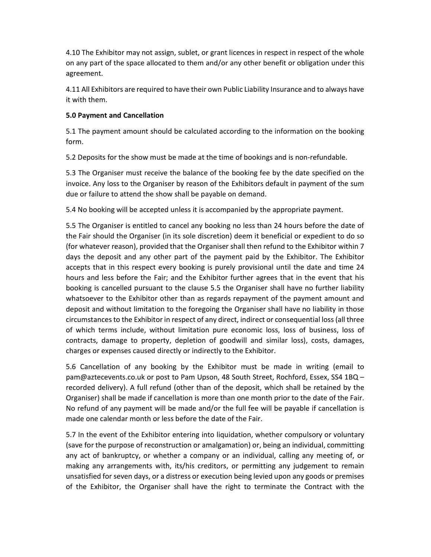4.10 The Exhibitor may not assign, sublet, or grant licences in respect in respect of the whole on any part of the space allocated to them and/or any other benefit or obligation under this agreement.

4.11 All Exhibitors are required to have their own Public Liability Insurance and to always have it with them.

#### 5.0 Payment and Cancellation

5.1 The payment amount should be calculated according to the information on the booking form.

5.2 Deposits for the show must be made at the time of bookings and is non-refundable.

5.3 The Organiser must receive the balance of the booking fee by the date specified on the invoice. Any loss to the Organiser by reason of the Exhibitors default in payment of the sum due or failure to attend the show shall be payable on demand.

5.4 No booking will be accepted unless it is accompanied by the appropriate payment.

5.5 The Organiser is entitled to cancel any booking no less than 24 hours before the date of the Fair should the Organiser (in its sole discretion) deem it beneficial or expedient to do so (for whatever reason), provided that the Organiser shall then refund to the Exhibitor within 7 days the deposit and any other part of the payment paid by the Exhibitor. The Exhibitor accepts that in this respect every booking is purely provisional until the date and time 24 hours and less before the Fair; and the Exhibitor further agrees that in the event that his booking is cancelled pursuant to the clause 5.5 the Organiser shall have no further liability whatsoever to the Exhibitor other than as regards repayment of the payment amount and deposit and without limitation to the foregoing the Organiser shall have no liability in those circumstances to the Exhibitor in respect of any direct, indirect or consequential loss (all three of which terms include, without limitation pure economic loss, loss of business, loss of contracts, damage to property, depletion of goodwill and similar loss), costs, damages, charges or expenses caused directly or indirectly to the Exhibitor.

5.6 Cancellation of any booking by the Exhibitor must be made in writing (email to pam@aztecevents.co.uk or post to Pam Upson, 48 South Street, Rochford, Essex, SS4 1BQ – recorded delivery). A full refund (other than of the deposit, which shall be retained by the Organiser) shall be made if cancellation is more than one month prior to the date of the Fair. No refund of any payment will be made and/or the full fee will be payable if cancellation is made one calendar month or less before the date of the Fair.

5.7 In the event of the Exhibitor entering into liquidation, whether compulsory or voluntary (save for the purpose of reconstruction or amalgamation) or, being an individual, committing any act of bankruptcy, or whether a company or an individual, calling any meeting of, or making any arrangements with, its/his creditors, or permitting any judgement to remain unsatisfied for seven days, or a distress or execution being levied upon any goods or premises of the Exhibitor, the Organiser shall have the right to terminate the Contract with the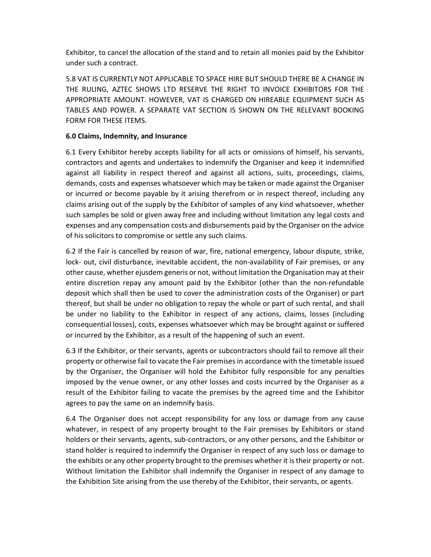Exhibitor, to cancel the allocation of the stand and to retain all monies paid by the Exhibitor under such a contract.

5.8 VAT IS CURRENTLY NOT APPLICABLE TO SPACE HIRE BUT SHOULD THERE BE A CHANGE IN THE RULING, AZTEC SHOWS LTD RESERVE THE RIGHT TO INVOICE EXHIBITORS FOR THE APPROPRIATE AMOUNT. HOWEVER, VAT IS CHARGED ON HIREABLE EQUIPMENT SUCH AS TABLES AND POWER. A SEPARATE VAT SECTION IS SHOWN ON THE RELEVANT BOOKING FORM FOR THESE ITEMS.

#### 6.0 Claims, Indemnity, and Insurance

6.1 Every Exhibitor hereby accepts liability for all acts or omissions of himself, his servants, contractors and agents and undertakes to indemnify the Organiser and keep it indemnified against all liability in respect thereof and against all actions, suits, proceedings, claims, demands, costs and expenses whatsoever which may be taken or made against the Organiser or incurred or become payable by it arising therefrom or in respect thereof, including any claims arising out of the supply by the Exhibitor of samples of any kind whatsoever, whether such samples be sold or given away free and including without limitation any legal costs and expenses and any compensation costs and disbursements paid by the Organiser on the advice of his solicitors to compromise or settle any such claims.

6.2 If the Fair is cancelled by reason of war, fire, national emergency, labour dispute, strike, lock- out, civil disturbance, inevitable accident, the non-availability of Fair premises, or any other cause, whether ejusdem generis or not, without limitation the Organisation may at their entire discretion repay any amount paid by the Exhibitor (other than the non-refundable deposit which shall then be used to cover the administration costs of the Organiser) or part thereof, but shall be under no obligation to repay the whole or part of such rental, and shall be under no liability to the Exhibitor in respect of any actions, claims, losses (including consequential losses), costs, expenses whatsoever which may be brought against or suffered or incurred by the Exhibitor, as a result of the happening of such an event.

6.3 If the Exhibitor, or their servants, agents or subcontractors should fail to remove all their property or otherwise fail to vacate the Fair premises in accordance with the timetable issued by the Organiser, the Organiser will hold the Exhibitor fully responsible for any penalties imposed by the venue owner, or any other losses and costs incurred by the Organiser as a result of the Exhibitor failing to vacate the premises by the agreed time and the Exhibitor agrees to pay the same on an indemnify basis.

6.4 The Organiser does not accept responsibility for any loss or damage from any cause whatever, in respect of any property brought to the Fair premises by Exhibitors or stand holders or their servants, agents, sub-contractors, or any other persons, and the Exhibitor or stand holder is required to indemnify the Organiser in respect of any such loss or damage to the exhibits or any other property brought to the premises whether it is their property or not. Without limitation the Exhibitor shall indemnify the Organiser in respect of any damage to the Exhibition Site arising from the use thereby of the Exhibitor, their servants, or agents.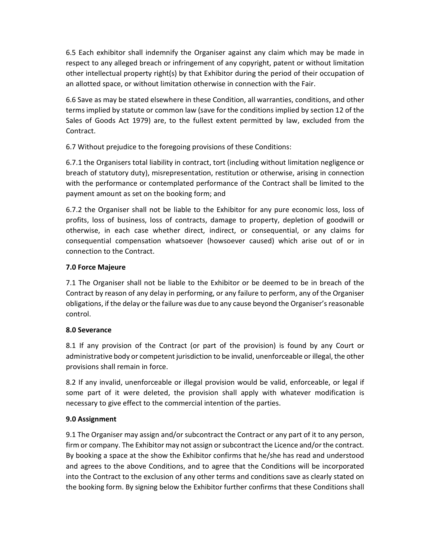6.5 Each exhibitor shall indemnify the Organiser against any claim which may be made in respect to any alleged breach or infringement of any copyright, patent or without limitation other intellectual property right(s) by that Exhibitor during the period of their occupation of an allotted space, or without limitation otherwise in connection with the Fair.

6.6 Save as may be stated elsewhere in these Condition, all warranties, conditions, and other terms implied by statute or common law (save for the conditions implied by section 12 of the Sales of Goods Act 1979) are, to the fullest extent permitted by law, excluded from the Contract.

6.7 Without prejudice to the foregoing provisions of these Conditions:

6.7.1 the Organisers total liability in contract, tort (including without limitation negligence or breach of statutory duty), misrepresentation, restitution or otherwise, arising in connection with the performance or contemplated performance of the Contract shall be limited to the payment amount as set on the booking form; and

6.7.2 the Organiser shall not be liable to the Exhibitor for any pure economic loss, loss of profits, loss of business, loss of contracts, damage to property, depletion of goodwill or otherwise, in each case whether direct, indirect, or consequential, or any claims for consequential compensation whatsoever (howsoever caused) which arise out of or in connection to the Contract.

# 7.0 Force Majeure

7.1 The Organiser shall not be liable to the Exhibitor or be deemed to be in breach of the Contract by reason of any delay in performing, or any failure to perform, any of the Organiser obligations, if the delay or the failure was due to any cause beyond the Organiser's reasonable control.

# 8.0 Severance

8.1 If any provision of the Contract (or part of the provision) is found by any Court or administrative body or competent jurisdiction to be invalid, unenforceable or illegal, the other provisions shall remain in force.

8.2 If any invalid, unenforceable or illegal provision would be valid, enforceable, or legal if some part of it were deleted, the provision shall apply with whatever modification is necessary to give effect to the commercial intention of the parties.

# 9.0 Assignment

9.1 The Organiser may assign and/or subcontract the Contract or any part of it to any person, firm or company. The Exhibitor may not assign or subcontract the Licence and/or the contract. By booking a space at the show the Exhibitor confirms that he/she has read and understood and agrees to the above Conditions, and to agree that the Conditions will be incorporated into the Contract to the exclusion of any other terms and conditions save as clearly stated on the booking form. By signing below the Exhibitor further confirms that these Conditions shall